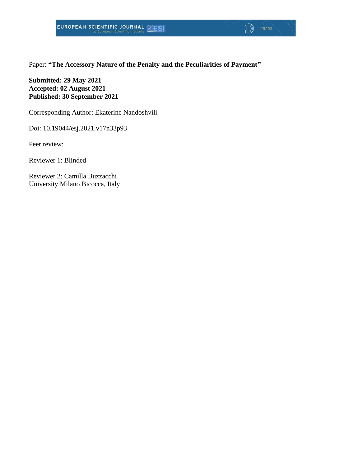Paper: **"The Accessory Nature of the Penalty and the Peculiarities of Payment"**

 $\sqrt{ }$ 

**Submitted: 29 May 2021 Accepted: 02 August 2021 Published: 30 September 2021**

Corresponding Author: Ekaterine Nandoshvili

Doi: 10.19044/esj.2021.v17n33p93

Peer review:

Reviewer 1: Blinded

Reviewer 2: Camilla Buzzacchi University Milano Bicocca, Italy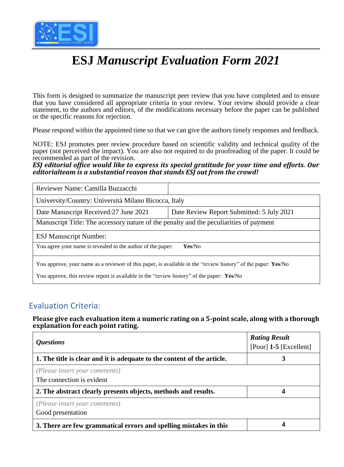

# **ESJ** *Manuscript Evaluation Form 2021*

This form is designed to summarize the manuscript peer review that you have completed and to ensure that you have considered all appropriate criteria in your review. Your review should provide a clear statement, to the authors and editors, of the modifications necessary before the paper can be published or the specific reasons for rejection.

Please respond within the appointed time so that we can give the authors timely responses and feedback.

NOTE: ESJ promotes peer review procedure based on scientific validity and technical quality of the paper (not perceived the impact). You are also not required to do proofreading of the paper. It could be recommended as part of the revision.

*ESJ editorial office would like to express its special gratitude for your time and efforts. Our editorialteam is a substantial reason that stands ESJ out from the crowd!*

| Reviewer Name: Camilla Buzzacchi                                                                                                                                                                           |                                           |  |
|------------------------------------------------------------------------------------------------------------------------------------------------------------------------------------------------------------|-------------------------------------------|--|
| University/Country: Università Milano Bicocca, Italy                                                                                                                                                       |                                           |  |
| Date Manuscript Received: 27 June 2021                                                                                                                                                                     | Date Review Report Submitted: 5 July 2021 |  |
| Manuscript Title: The accessory nature of the penalty and the peculiarities of payment                                                                                                                     |                                           |  |
| <b>ESJ Manuscript Number:</b>                                                                                                                                                                              |                                           |  |
| You agree your name is revealed to the author of the paper:<br>Yes/No                                                                                                                                      |                                           |  |
| You approve, your name as a reviewer of this paper, is available in the "review history" of the paper: Yes/No<br>You approve, this review report is available in the "review history" of the paper: Yes/No |                                           |  |

#### Evaluation Criteria:

**Please give each evaluation item a numeric rating on a 5-point scale, along with a thorough explanation for each point rating.**

| <i><b>Questions</b></i>                                                 | <b>Rating Result</b><br>$[Poor]$ 1-5 $[Excellent]$ |
|-------------------------------------------------------------------------|----------------------------------------------------|
| 1. The title is clear and it is adequate to the content of the article. | 3                                                  |
| (Please insert your comments)<br>The connection is evident              |                                                    |
| 2. The abstract clearly presents objects, methods and results.          |                                                    |
| (Please insert your comments)<br>Good presentation                      |                                                    |
| 3. There are few grammatical errors and spelling mistakes in this       |                                                    |